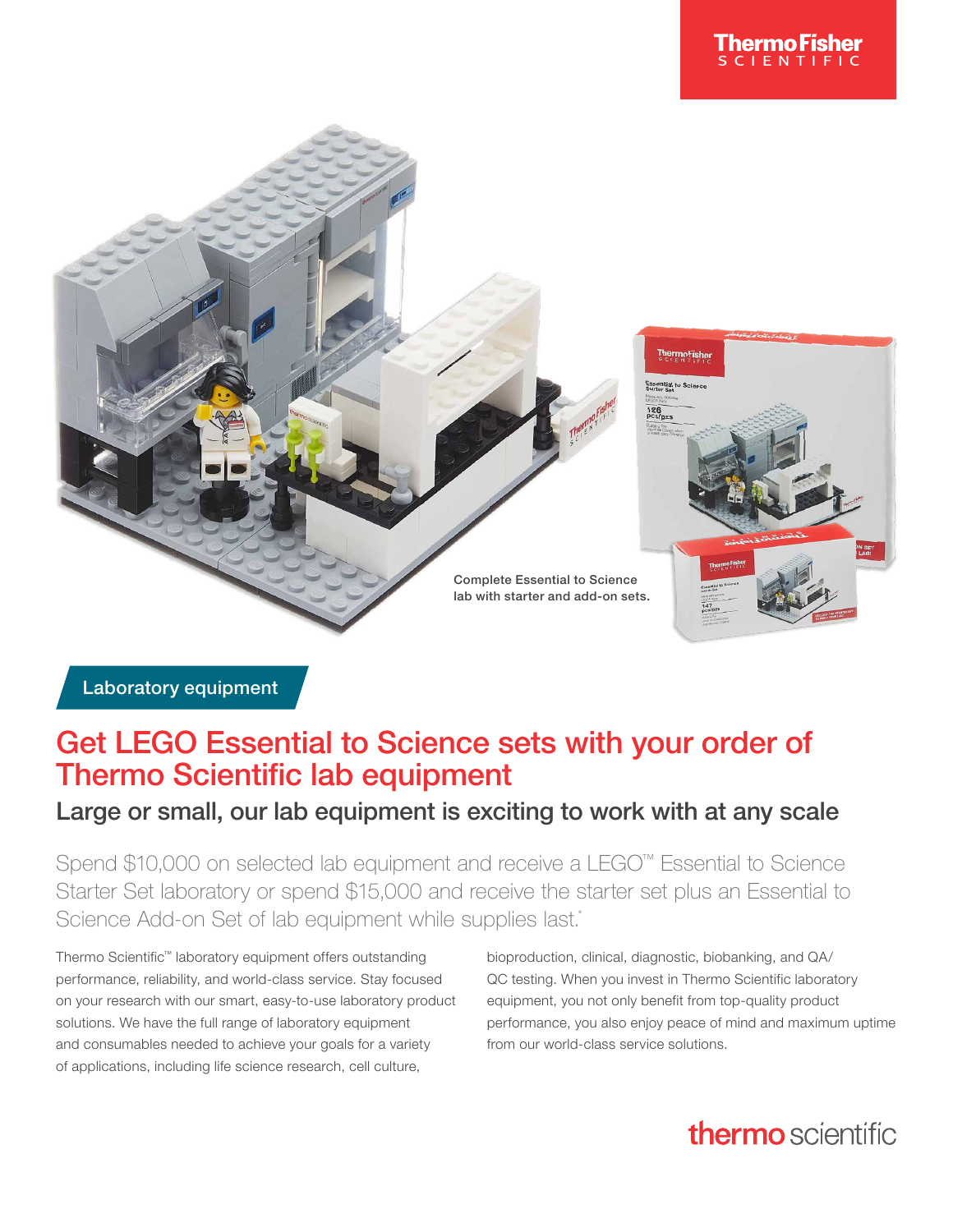

Laboratory equipment

## Get LEGO Essential to Science sets with your order of Thermo Scientific lab equipment

### Large or small, our lab equipment is exciting to work with at any scale

Spend \$10,000 on selected lab equipment and receive a LEGO™ Essential to Science Starter Set laboratory or spend \$15,000 and receive the starter set plus an Essential to Science Add-on Set of lab equipment while supplies last.\*

Thermo Scientific™ laboratory equipment offers outstanding performance, reliability, and world-class service. Stay focused on your research with our smart, easy-to-use laboratory product solutions. We have the full range of laboratory equipment and consumables needed to achieve your goals for a variety of applications, including life science research, cell culture,

bioproduction, clinical, diagnostic, biobanking, and QA/ QC testing. When you invest in Thermo Scientific laboratory equipment, you not only benefit from top-quality product performance, you also enjoy peace of mind and maximum uptime from our world-class service solutions.

# thermo scientific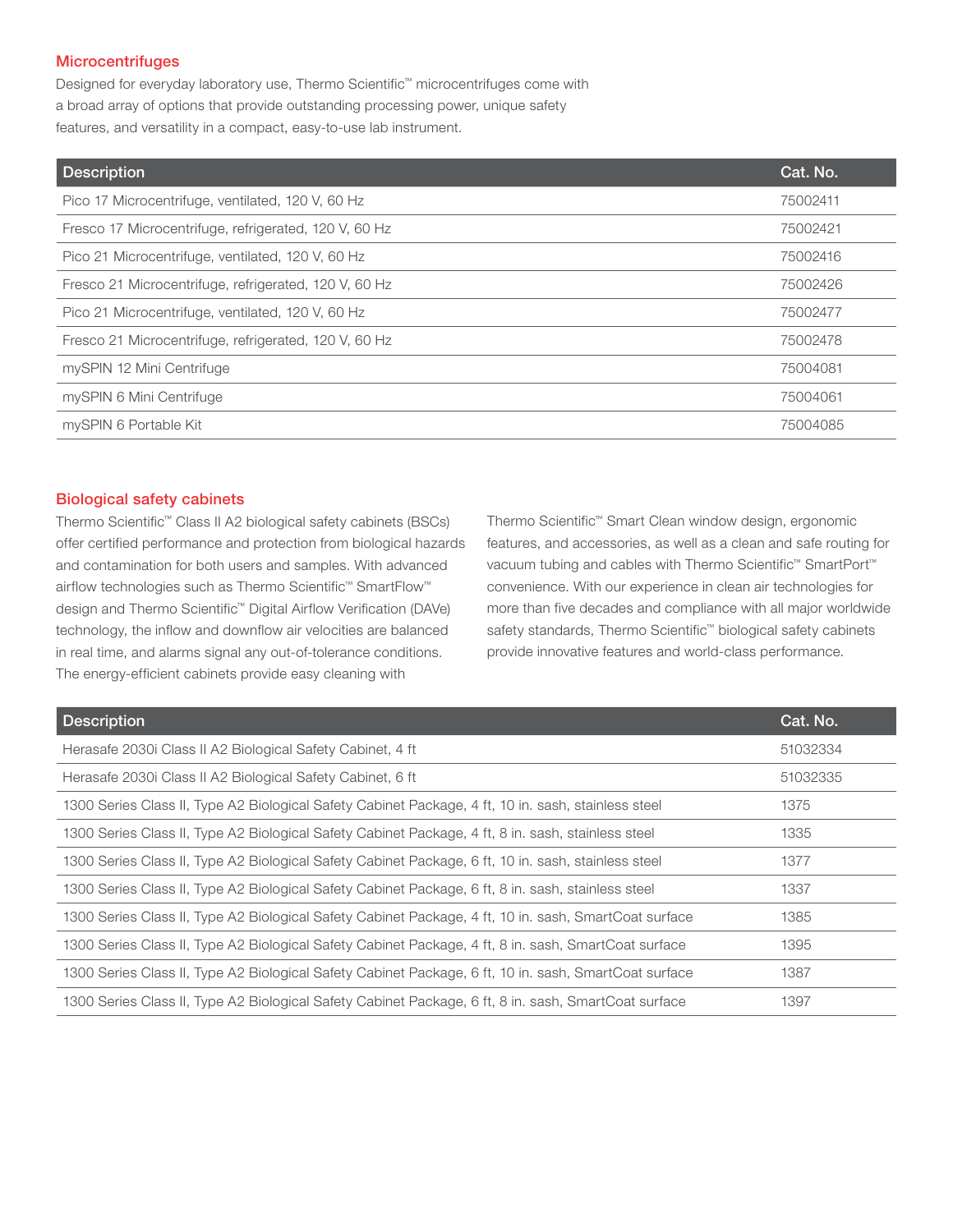#### **Microcentrifuges**

Designed for everyday laboratory use, Thermo Scientific™ microcentrifuges come with a broad array of options that provide outstanding processing power, unique safety features, and versatility in a compact, easy-to-use lab instrument.

| <b>Description</b>                                    | Cat. No. |
|-------------------------------------------------------|----------|
| Pico 17 Microcentrifuge, ventilated, 120 V, 60 Hz     | 75002411 |
| Fresco 17 Microcentrifuge, refrigerated, 120 V, 60 Hz | 75002421 |
| Pico 21 Microcentrifuge, ventilated, 120 V, 60 Hz     | 75002416 |
| Fresco 21 Microcentrifuge, refrigerated, 120 V, 60 Hz | 75002426 |
| Pico 21 Microcentrifuge, ventilated, 120 V, 60 Hz     | 75002477 |
| Fresco 21 Microcentrifuge, refrigerated, 120 V, 60 Hz | 75002478 |
| mySPIN 12 Mini Centrifuge                             | 75004081 |
| mySPIN 6 Mini Centrifuge                              | 75004061 |
| mySPIN 6 Portable Kit                                 | 75004085 |

#### Biological safety cabinets

Thermo Scientific™ Class II A2 biological safety cabinets (BSCs) offer certified performance and protection from biological hazards and contamination for both users and samples. With advanced airflow technologies such as Thermo Scientific™ SmartFlow™ design and Thermo Scientific™ Digital Airflow Verification (DAVe) technology, the inflow and downflow air velocities are balanced in real time, and alarms signal any out-of-tolerance conditions. The energy-efficient cabinets provide easy cleaning with

Thermo Scientific™ Smart Clean window design, ergonomic features, and accessories, as well as a clean and safe routing for vacuum tubing and cables with Thermo Scientific™ SmartPort™ convenience. With our experience in clean air technologies for more than five decades and compliance with all major worldwide safety standards, Thermo Scientific<sup>™</sup> biological safety cabinets provide innovative features and world-class performance.

| <b>Description</b>                                                                                    | Cat. No. |
|-------------------------------------------------------------------------------------------------------|----------|
| Herasafe 2030i Class II A2 Biological Safety Cabinet, 4 ft                                            | 51032334 |
| Herasafe 2030i Class II A2 Biological Safety Cabinet, 6 ft                                            | 51032335 |
| 1300 Series Class II, Type A2 Biological Safety Cabinet Package, 4 ft, 10 in. sash, stainless steel   | 1375     |
| 1300 Series Class II, Type A2 Biological Safety Cabinet Package, 4 ft, 8 in. sash, stainless steel    | 1335     |
| 1300 Series Class II, Type A2 Biological Safety Cabinet Package, 6 ft, 10 in. sash, stainless steel   | 1377     |
| 1300 Series Class II, Type A2 Biological Safety Cabinet Package, 6 ft, 8 in. sash, stainless steel    | 1337     |
| 1300 Series Class II, Type A2 Biological Safety Cabinet Package, 4 ft, 10 in. sash, SmartCoat surface | 1385     |
| 1300 Series Class II, Type A2 Biological Safety Cabinet Package, 4 ft, 8 in. sash, SmartCoat surface  | 1395     |
| 1300 Series Class II, Type A2 Biological Safety Cabinet Package, 6 ft, 10 in. sash, SmartCoat surface | 1387     |
| 1300 Series Class II, Type A2 Biological Safety Cabinet Package, 6 ft, 8 in. sash, SmartCoat surface  | 1397     |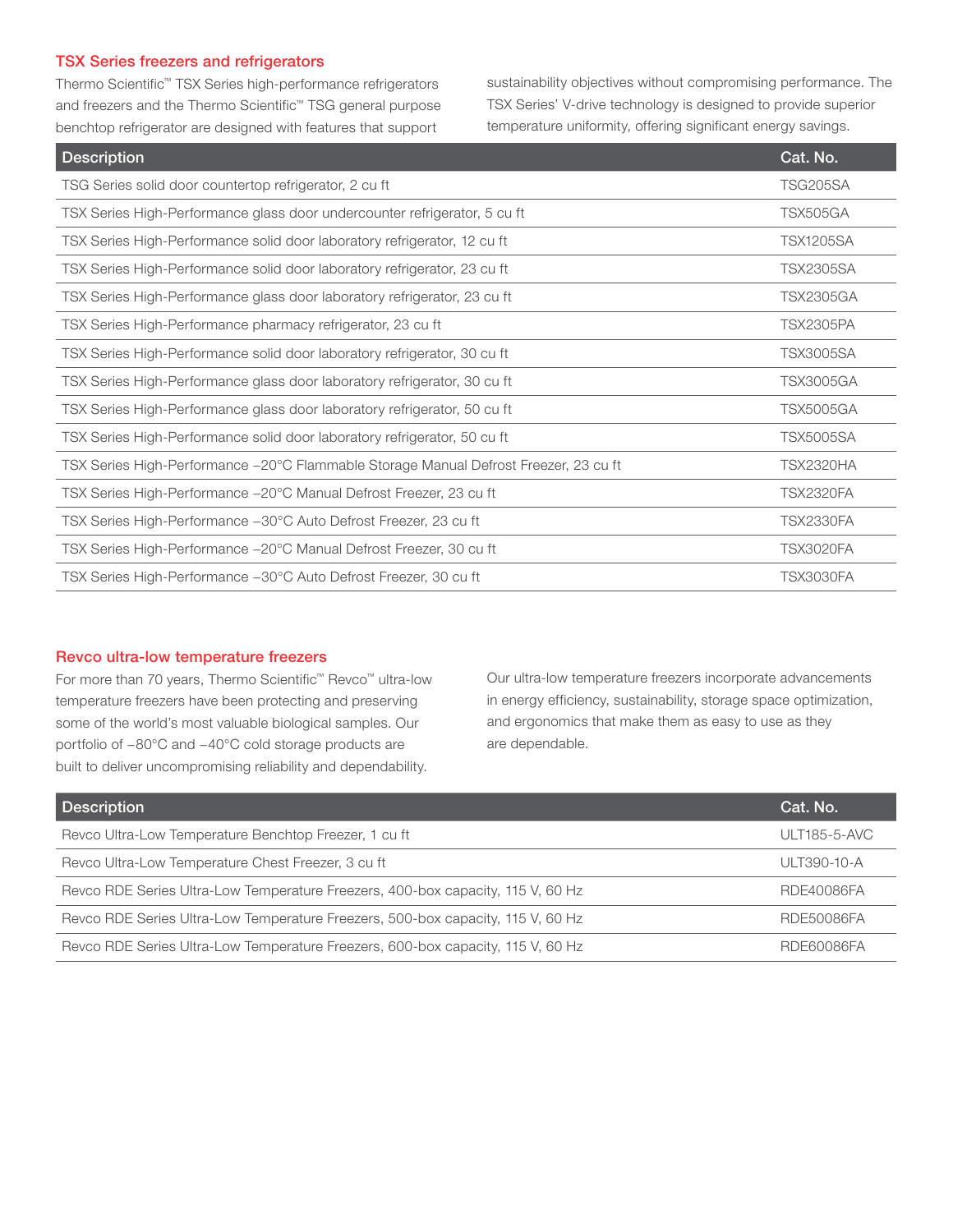#### TSX Series freezers and refrigerators

Thermo Scientific™ TSX Series high-performance refrigerators and freezers and the Thermo Scientific™ TSG general purpose benchtop refrigerator are designed with features that support

sustainability objectives without compromising performance. The TSX Series' V-drive technology is designed to provide superior temperature uniformity, offering significant energy savings.

| <b>Description</b>                                                                   | Cat. No.         |
|--------------------------------------------------------------------------------------|------------------|
| TSG Series solid door countertop refrigerator, 2 cu ft                               | <b>TSG205SA</b>  |
| TSX Series High-Performance glass door undercounter refrigerator, 5 cu ft            | TSX505GA         |
| TSX Series High-Performance solid door laboratory refrigerator, 12 cu ft             | <b>TSX1205SA</b> |
| TSX Series High-Performance solid door laboratory refrigerator, 23 cu ft             | <b>TSX2305SA</b> |
| TSX Series High-Performance glass door laboratory refrigerator, 23 cu ft             | <b>TSX2305GA</b> |
| TSX Series High-Performance pharmacy refrigerator, 23 cu ft                          | <b>TSX2305PA</b> |
| TSX Series High-Performance solid door laboratory refrigerator, 30 cu ft             | <b>TSX3005SA</b> |
| TSX Series High-Performance glass door laboratory refrigerator, 30 cu ft             | <b>TSX3005GA</b> |
| TSX Series High-Performance glass door laboratory refrigerator, 50 cu ft             | <b>TSX5005GA</b> |
| TSX Series High-Performance solid door laboratory refrigerator, 50 cu ft             | <b>TSX5005SA</b> |
| TSX Series High-Performance -20°C Flammable Storage Manual Defrost Freezer, 23 cu ft | <b>TSX2320HA</b> |
| TSX Series High-Performance -20°C Manual Defrost Freezer, 23 cu ft                   | <b>TSX2320FA</b> |
| TSX Series High-Performance -30°C Auto Defrost Freezer, 23 cu ft                     | <b>TSX2330FA</b> |
| TSX Series High-Performance -20°C Manual Defrost Freezer, 30 cu ft                   | <b>TSX3020FA</b> |
| TSX Series High-Performance -30°C Auto Defrost Freezer, 30 cu ft                     | <b>TSX3030FA</b> |

#### Revco ultra-low temperature freezers

For more than 70 years, Thermo Scientific™ Revco™ ultra-low temperature freezers have been protecting and preserving some of the world's most valuable biological samples. Our portfolio of −80°C and −40°C cold storage products are built to deliver uncompromising reliability and dependability.

Our ultra-low temperature freezers incorporate advancements in energy efficiency, sustainability, storage space optimization, and ergonomics that make them as easy to use as they are dependable.

| <b>Description</b>                                                              | Cat. No.            |
|---------------------------------------------------------------------------------|---------------------|
| Revco Ultra-Low Temperature Benchtop Freezer, 1 cu ft                           | <b>ULT185-5-AVC</b> |
| Revco Ultra-Low Temperature Chest Freezer, 3 cu ft                              | ULT390-10-A         |
| Revco RDE Series Ultra-Low Temperature Freezers, 400-box capacity, 115 V, 60 Hz | RDE40086FA          |
| Revco RDE Series Ultra-Low Temperature Freezers, 500-box capacity, 115 V, 60 Hz | RDE50086FA          |
| Revco RDE Series Ultra-Low Temperature Freezers, 600-box capacity, 115 V, 60 Hz | RDE60086FA          |